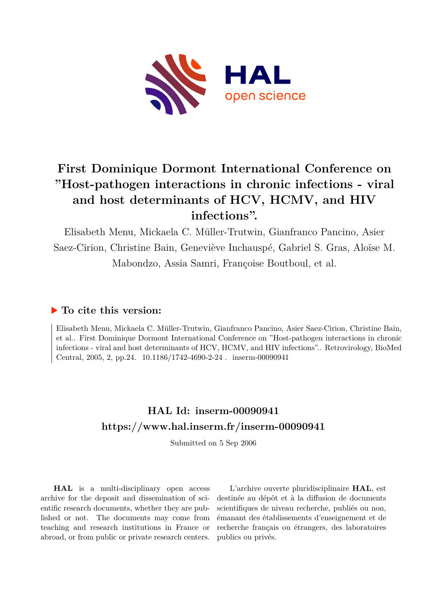

# **First Dominique Dormont International Conference on "Host-pathogen interactions in chronic infections - viral and host determinants of HCV, HCMV, and HIV infections".**

Elisabeth Menu, Mickaela C. Müller-Trutwin, Gianfranco Pancino, Asier Saez-Cirion, Christine Bain, Geneviève Inchauspé, Gabriel S. Gras, Aloïse M. Mabondzo, Assia Samri, Françoise Boutboul, et al.

## **To cite this version:**

Elisabeth Menu, Mickaela C. Müller-Trutwin, Gianfranco Pancino, Asier Saez-Cirion, Christine Bain, et al.. First Dominique Dormont International Conference on "Host-pathogen interactions in chronic infections - viral and host determinants of HCV, HCMV, and HIV infections".. Retrovirology, BioMed Central, 2005, 2, pp. 24.  $10.1186/1742-4690-2-24$ . inserm-00090941

# **HAL Id: inserm-00090941 <https://www.hal.inserm.fr/inserm-00090941>**

Submitted on 5 Sep 2006

**HAL** is a multi-disciplinary open access archive for the deposit and dissemination of scientific research documents, whether they are published or not. The documents may come from teaching and research institutions in France or abroad, or from public or private research centers.

L'archive ouverte pluridisciplinaire **HAL**, est destinée au dépôt et à la diffusion de documents scientifiques de niveau recherche, publiés ou non, émanant des établissements d'enseignement et de recherche français ou étrangers, des laboratoires publics ou privés.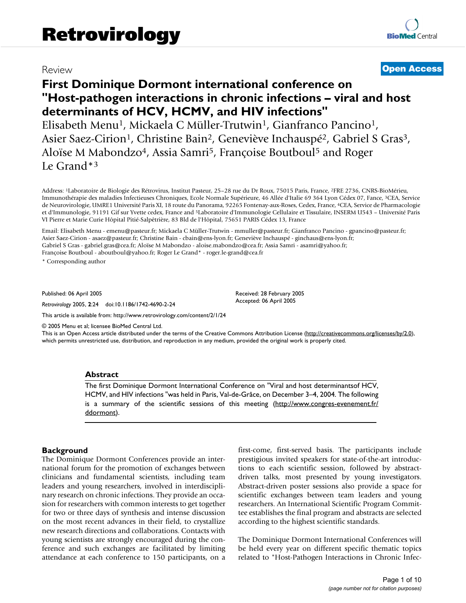## Review **[Open Access](http://www.biomedcentral.com/info/about/charter/)**

# **First Dominique Dormont international conference on "Host-pathogen interactions in chronic infections – viral and host determinants of HCV, HCMV, and HIV infections"**

Elisabeth Menu<sup>1</sup>, Mickaela C Müller-Trutwin<sup>1</sup>, Gianfranco Pancino<sup>1</sup>, Asier Saez-Cirion<sup>1</sup>, Christine Bain<sup>2</sup>, Geneviève Inchauspé<sup>2</sup>, Gabriel S Gras<sup>3</sup>, Aloïse M Mabondzo<sup>4</sup>, Assia Samri<sup>5</sup>, Françoise Boutboul<sup>5</sup> and Roger Le Grand\*<sup>3</sup>

Address: <sup>1</sup>Laboratoire de Biologie des Rétrovirus, Institut Pasteur, 25–28 rue du Dr Roux, 75015 Paris, France, <sup>2</sup>FRE 2736, CNRS-BioMérieu, Immunothérapie des maladies Infectieuses Chroniques, Ecole Normale Supérieure, 46 Allée d'Italie 69 364 Lyon Cédex 07, Fance, <sup>3</sup>CEA, Service de Neurovirologie, UMRE1 Université Paris XI, 18 route du Panorama, 92265 Fontenay-aux-Roses, Cedex, France, <sup>4</sup>CEA, Service de Pharmacologie et d'Immunologie, 91191 Gif sur Yvette cedex, France and <sup>5</sup>Laboratoire d'Immunologie Cellulaire et Tissulaire, INSERM U543 – Université Paris VI Pierre et Marie Curie Hôpital Pitié-Salpêtrière, 83 Bld de l'Hôpital, 75651 PARIS Cédex 13, France

Email: Elisabeth Menu - emenu@pasteur.fr; Mickaela C Müller-Trutwin - mmuller@pasteur.fr; Gianfranco Pancino - gpancino@pasteur.fr; Asier Saez-Cirion - asaez@pasteur.fr; Christine Bain - cbain@ens-lyon.fr; Geneviève Inchauspé - ginchaus@ens-lyon.fr; Gabriel S Gras - gabriel.gras@cea.fr; Aloïse M Mabondzo - aloise.mabondzo@cea.fr; Assia Samri - asamri@yahoo.fr;

Françoise Boutboul - aboutboul@yahoo.fr; Roger Le Grand\* - roger.le-grand@cea.fr

\* Corresponding author

Published: 06 April 2005

*Retrovirology* 2005, **2**:24 doi:10.1186/1742-4690-2-24

[This article is available from: http://www.retrovirology.com/content/2/1/24](http://www.retrovirology.com/content/2/1/24)

© 2005 Menu et al; licensee BioMed Central Ltd.

This is an Open Access article distributed under the terms of the Creative Commons Attribution License [\(http://creativecommons.org/licenses/by/2.0\)](http://creativecommons.org/licenses/by/2.0), which permits unrestricted use, distribution, and reproduction in any medium, provided the original work is properly cited.

Received: 28 February 2005 Accepted: 06 April 2005

#### **Abstract**

The first Dominique Dormont International Conference on "Viral and host determinantsof HCV, HCMV, and HIV infections "was held in Paris, Val-de-Grâce, on December 3–4, 2004. The following is a summary of the scientific sessions of this meeting ([http://www.congres-evenement.fr/](http://www.congres-evenement.fr/ddormont) [ddormont\)](http://www.congres-evenement.fr/ddormont).

#### **Background**

The Dominique Dormont Conferences provide an international forum for the promotion of exchanges between clinicians and fundamental scientists, including team leaders and young researchers, involved in interdisciplinary research on chronic infections. They provide an occasion for researchers with common interests to get together for two or three days of synthesis and intense discussion on the most recent advances in their field, to crystallize new research directions and collaborations. Contacts with young scientists are strongly encouraged during the conference and such exchanges are facilitated by limiting attendance at each conference to 150 participants, on a first-come, first-served basis. The participants include prestigious invited speakers for state-of-the-art introductions to each scientific session, followed by abstractdriven talks, most presented by young investigators. Abstract-driven poster sessions also provide a space for scientific exchanges between team leaders and young researchers. An International Scientific Program Committee establishes the final program and abstracts are selected according to the highest scientific standards.

The Dominique Dormont International Conferences will be held every year on different specific thematic topics related to "Host-Pathogen Interactions in Chronic Infec-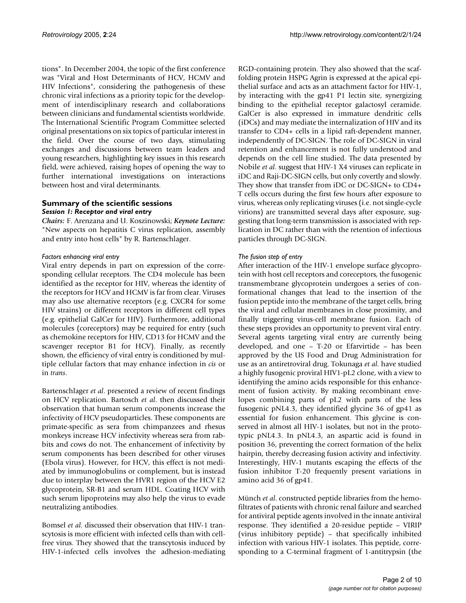tions". In December 2004, the topic of the first conference was "Viral and Host Determinants of HCV, HCMV and HIV Infections", considering the pathogenesis of these chronic viral infections as a priority topic for the development of interdisciplinary research and collaborations between clinicians and fundamental scientists worldwide. The International Scientific Program Committee selected original presentations on six topics of particular interest in the field. Over the course of two days, stimulating exchanges and discussions between team leaders and young researchers, highlighting key issues in this research field, were achieved, raising hopes of opening the way to further international investigations on interactions between host and viral determinants.

#### **Summary of the scientific sessions** *Session 1: Receptor and viral entry*

*Chairs:* F. Arenzana and U. Koszinowski; *Keynote Lecture:* "New aspects on hepatitis C virus replication, assembly and entry into host cells" by R. Bartenschlager.

#### *Factors enhancing viral entry*

Viral entry depends in part on expression of the corresponding cellular receptors. The CD4 molecule has been identified as the receptor for HIV, whereas the identity of the receptors for HCV and HCMV is far from clear. Viruses may also use alternative receptors (e.g. CXCR4 for some HIV strains) or different receptors in different cell types (e.g. epithelial GalCer for HIV). Furthermore, additional molecules (coreceptors) may be required for entry (such as chemokine receptors for HIV, CD13 for HCMV and the scavenger receptor B1 for HCV). Finally, as recently shown, the efficiency of viral entry is conditioned by multiple cellular factors that may enhance infection in *cis* or in *trans*.

Bartenschlager *et al*. presented a review of recent findings on HCV replication. Bartosch *et al*. then discussed their observation that human serum components increase the infectivity of HCV pseudoparticles. These components are primate-specific as sera from chimpanzees and rhesus monkeys increase HCV infectivity whereas sera from rabbits and cows do not. The enhancement of infectivity by serum components has been described for other viruses (Ebola virus). However, for HCV, this effect is not mediated by immunoglobulins or complement, but is instead due to interplay between the HVR1 region of the HCV E2 glycoprotein, SR-B1 and serum HDL. Coating HCV with such serum lipoproteins may also help the virus to evade neutralizing antibodies.

Bomsel *et al*. discussed their observation that HIV-1 transcytosis is more efficient with infected cells than with cellfree virus. They showed that the transcytosis induced by HIV-1-infected cells involves the adhesion-mediating RGD-containing protein. They also showed that the scaffolding protein HSPG Agrin is expressed at the apical epithelial surface and acts as an attachment factor for HIV-1, by interacting with the gp41 P1 lectin site, synergizing binding to the epithelial receptor galactosyl ceramide. GalCer is also expressed in immature dendritic cells (iDCs) and may mediate the internalization of HIV and its transfer to CD4+ cells in a lipid raft-dependent manner, independently of DC-SIGN. The role of DC-SIGN in viral retention and enhancement is not fully understood and depends on the cell line studied. The data presented by Nobile *et al*. suggest that HIV-1 X4 viruses can replicate in iDC and Raji-DC-SIGN cells, but only covertly and slowly. They show that transfer from iDC or DC-SIGN+ to CD4+ T cells occurs during the first few hours after exposure to virus, whereas only replicating viruses (i.e. not single-cycle virions) are transmitted several days after exposure, suggesting that long-term transmission is associated with replication in DC rather than with the retention of infectious particles through DC-SIGN.

#### *The fusion step of entry*

After interaction of the HIV-1 envelope surface glycoprotein with host cell receptors and coreceptors, the fusogenic transmembrane glycoprotein undergoes a series of conformational changes that lead to the insertion of the fusion peptide into the membrane of the target cells, bring the viral and cellular membranes in close proximity, and finally triggering virus-cell membrane fusion. Each of these steps provides an opportunity to prevent viral entry. Several agents targeting viral entry are currently being developed, and one – T-20 or Efarvirtide – has been approved by the US Food and Drug Administration for use as an antiretroviral drug. Tokunaga *et al*. have studied a highly fusogenic proviral HIV1-pL2 clone, with a view to identifying the amino acids responsible for this enhancement of fusion activity. By making recombinant envelopes combining parts of pL2 with parts of the less fusogenic pNL4.3, they identified glycine 36 of gp41 as essential for fusion enhancement. This glycine is conserved in almost all HIV-1 isolates, but not in the prototypic pNL4.3. In pNL4.3, an aspartic acid is found in position 36, preventing the correct formation of the helix hairpin, thereby decreasing fusion activity and infectivity. Interestingly, HIV-1 mutants escaping the effects of the fusion inhibitor T-20 frequently present variations in amino acid 36 of gp41.

Münch *et al*. constructed peptide libraries from the hemofiltrates of patients with chronic renal failure and searched for antiviral peptide agents involved in the innate antiviral response. They identified a 20-residue peptide – VIRIP (virus inhibitory peptide) – that specifically inhibited infection with various HIV-1 isolates. This peptide, corresponding to a C-terminal fragment of 1-antitrypsin (the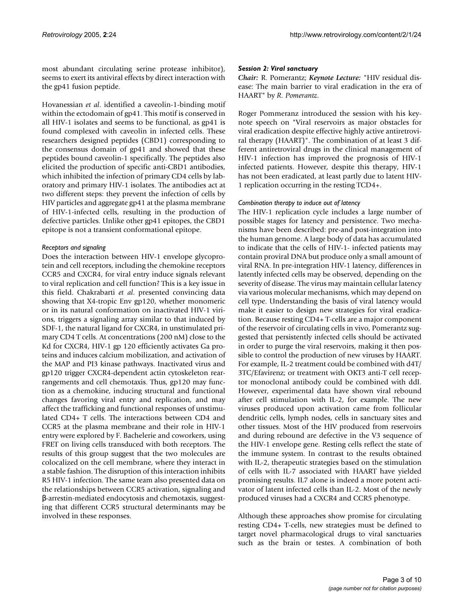most abundant circulating serine protease inhibitor), seems to exert its antiviral effects by direct interaction with the gp41 fusion peptide.

Hovanessian *et al*. identified a caveolin-1-binding motif within the ectodomain of gp41. This motif is conserved in all HIV-1 isolates and seems to be functional, as gp41 is found complexed with caveolin in infected cells. These researchers designed peptides (CBD1) corresponding to the consensus domain of gp41 and showed that these peptides bound caveolin-1 specifically. The peptides also elicited the production of specific anti-CBD1 antibodies, which inhibited the infection of primary CD4 cells by laboratory and primary HIV-1 isolates. The antibodies act at two different steps: they prevent the infection of cells by HIV particles and aggregate gp41 at the plasma membrane of HIV-1-infected cells, resulting in the production of defective particles. Unlike other gp41 epitopes, the CBD1 epitope is not a transient conformational epitope.

#### *Receptors and signaling*

Does the interaction between HIV-1 envelope glycoprotein and cell receptors, including the chemokine receptors CCR5 and CXCR4, for viral entry induce signals relevant to viral replication and cell function? This is a key issue in this field. Chakrabarti *et al*. presented convincing data showing that X4-tropic Env gp120, whether monomeric or in its natural conformation on inactivated HIV-1 virions, triggers a signaling array similar to that induced by SDF-1, the natural ligand for CXCR4, in unstimulated primary CD4 T cells. At concentrations (200 nM) close to the Kd for CXCR4, HIV-1 gp 120 efficiently activates Ga proteins and induces calcium mobilization, and activation of the MAP and PI3 kinase pathways. Inactivated virus and gp120 trigger CXCR4-dependent actin cytoskeleton rearrangements and cell chemotaxis. Thus, gp120 may function as a chemokine, inducing structural and functional changes favoring viral entry and replication, and may affect the trafficking and functional responses of unstimulated CD4+ T cells. The interactions between CD4 and CCR5 at the plasma membrane and their role in HIV-1 entry were explored by F. Bachelerie and coworkers, using FRET on living cells transduced with both receptors. The results of this group suggest that the two molecules are colocalized on the cell membrane, where they interact in a stable fashion. The disruption of this interaction inhibits R5 HIV-1 infection. The same team also presented data on the relationships between CCR5 activation, signaling and β-arrestin-mediated endocytosis and chemotaxis, suggesting that different CCR5 structural determinants may be involved in these responses.

#### *Session 2: Viral sanctuary*

*Chair:* R. Pomerantz; *Keynote Lecture:* "HIV residual disease: The main barrier to viral eradication in the era of HAART" by *R. Pomerantz*.

Roger Pommeranz introduced the session with his keynote speech on "Viral reservoirs as major obstacles for viral eradication despite effective highly active antiretroviral therapy (HAART)". The combination of at least 3 different antiretroviral drugs in the clinical management of HIV-1 infection has improved the prognosis of HIV-1 infected patients. However, despite this therapy, HIV-1 has not been eradicated, at least partly due to latent HIV-1 replication occurring in the resting TCD4+.

#### *Combination therapy to induce out of latency*

The HIV-1 replication cycle includes a large number of possible stages for latency and persistence. Two mechanisms have been described: pre-and post-integration into the human genome. A large body of data has accumulated to indicate that the cells of HIV-1- infected patients may contain proviral DNA but produce only a small amount of viral RNA. In pre-integration HIV-1 latency, differences in latently infected cells may be observed, depending on the severity of disease. The virus may maintain cellular latency via various molecular mechanisms, which may depend on cell type. Understanding the basis of viral latency would make it easier to design new strategies for viral eradication. Because resting CD4+ T-cells are a major component of the reservoir of circulating cells in vivo, Pomerantz suggested that persistently infected cells should be activated in order to purge the viral reservoirs, making it then possible to control the production of new viruses by HAART. For example, IL-2 treatment could be combined with d4T/ 3TC/Efavirenz; or treatment with OKT3 anti-T cell receptor monoclonal antibody could be combined with ddI. However, experimental data have shown viral rebound after cell stimulation with IL-2, for example. The new viruses produced upon activation came from follicular dendritic cells, lymph nodes, cells in sanctuary sites and other tissues. Most of the HIV produced from reservoirs and during rebound are defective in the V3 sequence of the HIV-1 envelope gene. Resting cells reflect the state of the immune system. In contrast to the results obtained with IL-2, therapeutic strategies based on the stimulation of cells with IL-7 associated with HAART have yielded promising results. IL7 alone is indeed a more potent activator of latent infected cells than IL-2. Most of the newly produced viruses had a CXCR4 and CCR5 phenotype.

Although these approaches show promise for circulating resting CD4+ T-cells, new strategies must be defined to target novel pharmacological drugs to viral sanctuaries such as the brain or testes. A combination of both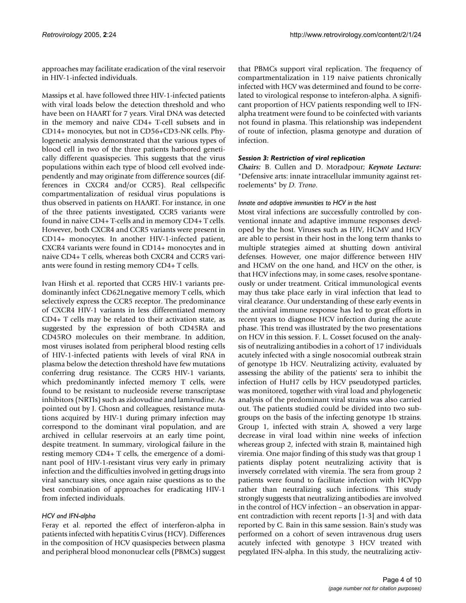approaches may facilitate eradication of the viral reservoir in HIV-1-infected individuals.

Massips et al. have followed three HIV-1-infected patients with viral loads below the detection threshold and who have been on HAART for 7 years. Viral DNA was detected in the memory and naive CD4+ T-cell subsets and in CD14+ monocytes, but not in CD56+CD3-NK cells. Phylogenetic analysis demonstrated that the various types of blood cell in two of the three patients harbored genetically different quasispecies. This suggests that the virus populations within each type of blood cell evolved independently and may originate from difference sources (differences in CXCR4 and/or CCR5). Real cellspecific compartmentalization of residual virus populations is thus observed in patients on HAART. For instance, in one of the three patients investigated, CCR5 variants were found in naive CD4+ T-cells and in memory CD4+ T cells. However, both CXCR4 and CCR5 variants were present in CD14+ monocytes. In another HIV-1-infected patient, CXCR4 variants were found in CD14+ monocytes and in naive CD4+ T cells, whereas both CXCR4 and CCR5 variants were found in resting memory CD4+ T cells.

Ivan Hirsh et al. reported that CCR5 HIV-1 variants predominantly infect CD62Lnegative memory T cells, which selectively express the CCR5 receptor. The predominance of CXCR4 HIV-1 variants in less differentiated memory CD4+ T cells may be related to their activation state, as suggested by the expression of both CD45RA and CD45RO molecules on their membrane. In addition, most viruses isolated from peripheral blood resting cells of HIV-1-infected patients with levels of viral RNA in plasma below the detection threshold have few mutations conferring drug resistance. The CCR5 HIV-1 variants, which predominantly infected memory T cells, were found to be resistant to nucleoside reverse transcriptase inhibitors (NRTIs) such as zidovudine and lamivudine. As pointed out by J. Ghosn and colleagues, resistance mutations acquired by HIV-1 during primary infection may correspond to the dominant viral population, and are archived in cellular reservoirs at an early time point, despite treatment. In summary, virological failure in the resting memory CD4+ T cells, the emergence of a dominant pool of HIV-1-resistant virus very early in primary infection and the difficulties involved in getting drugs into viral sanctuary sites, once again raise questions as to the best combination of approaches for eradicating HIV-1 from infected individuals.

#### *HCV and IFN-alpha*

Feray et al. reported the effect of interferon-alpha in patients infected with hepatitis C virus (HCV). Differences in the composition of HCV quasispecies between plasma and peripheral blood mononuclear cells (PBMCs) suggest that PBMCs support viral replication. The frequency of compartmentalization in 119 naive patients chronically infected with HCV was determined and found to be correlated to virological response to inteferon-alpha. A significant proportion of HCV patients responding well to IFNalpha treatment were found to be coinfected with variants not found in plasma. This relationship was independent of route of infection, plasma genotype and duration of infection.

#### *Session 3: Restriction of viral replication*

*Chairs:* B. Cullen and D. Moradpour; *Keynote Lecture:* "Defensive arts: innate intracellular immunity against retroelements" by *D. Trono*.

#### *Innate and adaptive immunities to HCV in the host*

Most viral infections are successfully controlled by conventional innate and adaptive immune responses developed by the host. Viruses such as HIV, HCMV and HCV are able to persist in their host in the long term thanks to multiple strategies aimed at shutting down antiviral defenses. However, one major difference between HIV and HCMV on the one hand, and HCV on the other, is that HCV infections may, in some cases, resolve spontaneously or under treatment. Critical immunological events may thus take place early in viral infection that lead to viral clearance. Our understanding of these early events in the antiviral immune response has led to great efforts in recent years to diagnose HCV infection during the acute phase. This trend was illustrated by the two presentations on HCV in this session. F. L. Cosset focused on the analysis of neutralizing antibodies in a cohort of 17 individuals acutely infected with a single nosocomial outbreak strain of genotype 1b HCV. Neutralizing activity, evaluated by assessing the ability of the patients' sera to inhibit the infection of HuH7 cells by HCV pseudotyped particles, was monitored, together with viral load and phylogenetic analysis of the predominant viral strains was also carried out. The patients studied could be divided into two subgroups on the basis of the infecting genotype 1b strains. Group 1, infected with strain A, showed a very large decrease in viral load within nine weeks of infection whereas group 2, infected with strain B, maintained high viremia. One major finding of this study was that group 1 patients display potent neutralizing activity that is inversely correlated with viremia. The sera from group 2 patients were found to facilitate infection with HCVpp rather than neutralizing such infections. This study strongly suggests that neutralizing antibodies are involved in the control of HCV infection – an observation in apparent contradiction with recent reports [1-3] and with data reported by C. Bain in this same session. Bain's study was performed on a cohort of seven intravenous drug users acutely infected with genotype 3 HCV treated with pegylated IFN-alpha. In this study, the neutralizing activ-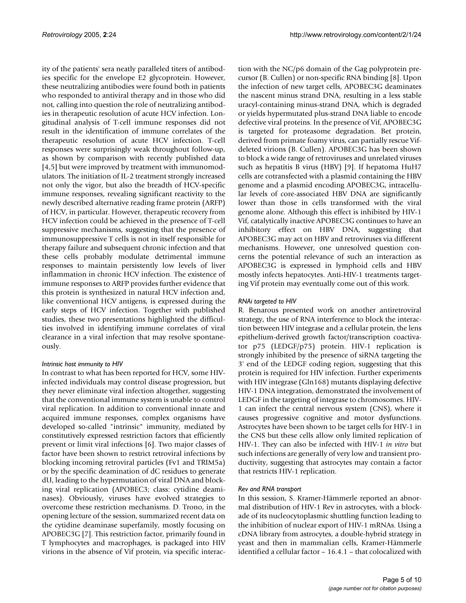ity of the patients' sera neatly paralleled titers of antibodies specific for the envelope E2 glycoprotein. However, these neutralizing antibodies were found both in patients who responded to antiviral therapy and in those who did not, calling into question the role of neutralizing antibodies in therapeutic resolution of acute HCV infection. Longitudinal analysis of T-cell immune responses did not result in the identification of immune correlates of the therapeutic resolution of acute HCV infection. T-cell responses were surprisingly weak throughout follow-up, as shown by comparison with recently published data [4,5] but were improved by treatment with immunomodulators. The initiation of IL-2 treatment strongly increased not only the vigor, but also the breadth of HCV-specific immune responses, revealing significant reactivity to the newly described alternative reading frame protein (ARFP) of HCV, in particular. However, therapeutic recovery from HCV infection could be achieved in the presence of T-cell suppressive mechanisms, suggesting that the presence of immunosuppressive T cells is not in itself responsible for therapy failure and subsequent chronic infection and that these cells probably modulate detrimental immune responses to maintain persistently low levels of liver inflammation in chronic HCV infection. The existence of immune responses to ARFP provides further evidence that this protein is synthesized in natural HCV infection and, like conventional HCV antigens, is expressed during the early steps of HCV infection. Together with published studies, these two presentations highlighted the difficulties involved in identifying immune correlates of viral clearance in a viral infection that may resolve spontaneously.

#### *Intrinsic host immunity to HIV*

In contrast to what has been reported for HCV, some HIVinfected individuals may control disease progression, but they never eliminate viral infection altogether, suggesting that the conventional immune system is unable to control viral replication. In addition to conventional innate and acquired immune responses, complex organisms have developed so-called "intrinsic" immunity, mediated by constitutively expressed restriction factors that efficiently prevent or limit viral infections [6]. Two major classes of factor have been shown to restrict retroviral infections by blocking incoming retroviral particles (Fv1 and TRIM5a) or by the specific deamination of dC residues to generate dU, leading to the hypermutation of viral DNA and blocking viral replication (APOBEC3; class: cytidine deaminases). Obviously, viruses have evolved strategies to overcome these restriction mechanisms. D. Trono, in the opening lecture of the session, summarized recent data on the cytidine deaminase superfamily, mostly focusing on APOBEC3G [7]. This restriction factor, primarily found in T lymphocytes and macrophages, is packaged into HIV virions in the absence of Vif protein, via specific interaction with the NC/p6 domain of the Gag polyprotein precursor (B. Cullen) or non-specific RNA binding [8]. Upon the infection of new target cells, APOBEC3G deaminates the nascent minus strand DNA, resulting in a less stable uracyl-containing minus-strand DNA, which is degraded or yields hypermutated plus-strand DNA liable to encode defective viral proteins. In the presence of Vif, APOBEC3G is targeted for proteasome degradation. Bet protein, derived from primate foamy virus, can partially rescue Vifdeleted virions (B. Cullen). APOBEC3G has been shown to block a wide range of retroviruses and unrelated viruses such as hepatitis B virus (HBV) [9]. If hepatoma HuH7 cells are cotransfected with a plasmid containing the HBV genome and a plasmid encoding APOBEC3G, intracellular levels of core-associated HBV DNA are significantly lower than those in cells transformed with the viral genome alone. Although this effect is inhibited by HIV-1 Vif, catalytically inactive APOBEC3G continues to have an inhibitory effect on HBV DNA, suggesting that APOBEC3G may act on HBV and retroviruses via different mechanisms. However, one unresolved question concerns the potential relevance of such an interaction as APOBEC3G is expressed in lymphoid cells and HBV mostly infects hepatocytes. Anti-HIV-1 treatments targeting Vif protein may eventually come out of this work.

### *RNAi targeted to HIV*

R. Benarous presented work on another antiretroviral strategy, the use of RNA interference to block the interaction between HIV integrase and a cellular protein, the lens epithelium-derived growth factor/transcription coactivator p75 (LEDGF/p75) protein. HIV-1 replication is strongly inhibited by the presence of siRNA targeting the 3' end of the LEDGF coding region, suggesting that this protein is required for HIV infection. Further experiments with HIV integrase (Gln168) mutants displaying defective HIV-1 DNA integration, demonstrated the involvement of LEDGF in the targeting of integrase to chromosomes. HIV-1 can infect the central nervous system (CNS), where it causes progressive cognitive and motor dysfunctions. Astrocytes have been shown to be target cells for HIV-1 in the CNS but these cells allow only limited replication of HIV-1. They can also be infected with HIV-1 *in vitro* but such infections are generally of very low and transient productivity, suggesting that astrocytes may contain a factor that restricts HIV-1 replication.

#### *Rev and RNA transport*

In this session, S. Kramer-Hämmerle reported an abnormal distribution of HIV-1 Rev in astrocytes, with a blockade of its nucleocytoplasmic shuttling function leading to the inhibition of nuclear export of HIV-1 mRNAs. Using a cDNA library from astrocytes, a double-hybrid strategy in yeast and then in mammalian cells, Kramer-Hämmerle identified a cellular factor – 16.4.1 – that colocalized with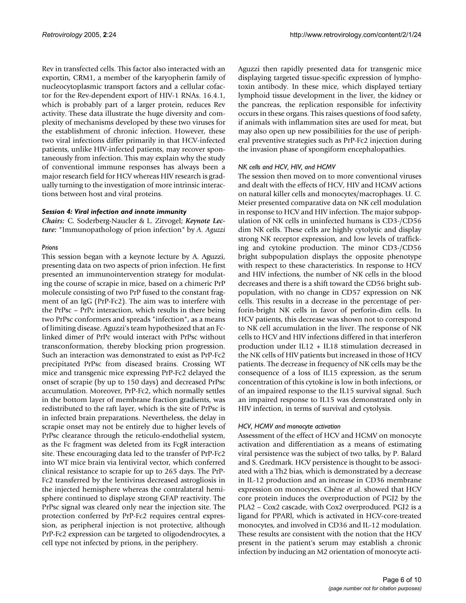Rev in transfected cells. This factor also interacted with an exportin, CRM1, a member of the karyopherin family of nucleocytoplasmic transport factors and a cellular cofactor for the Rev-dependent export of HIV-1 RNAs. 16.4.1, which is probably part of a larger protein, reduces Rev activity. These data illustrate the huge diversity and complexity of mechanisms developed by these two viruses for the establishment of chronic infection. However, these two viral infections differ primarily in that HCV-infected patients, unlike HIV-infected patients, may recover spontaneously from infection. This may explain why the study of conventional immune responses has always been a major research field for HCV whereas HIV research is gradually turning to the investigation of more intrinsic interactions between host and viral proteins.

#### *Session 4: Viral infection and innate immunity*

*Chairs:* C. Soderberg-Naucler & L. Zitvogel; *Keynote Lecture:* "Immunopathology of prion infection" by *A. Aguzzi*

#### *Prions*

This session began with a keynote lecture by A. Aguzzi, presenting data on two aspects of prion infection. He first presented an immunointervention strategy for modulating the course of scrapie in mice, based on a chimeric PrP molecule consisting of two PrP fused to the constant fragment of an IgG (PrP-Fc2). The aim was to interfere with the PrPsc – PrPc interaction, which results in there being two PrPsc conformers and spreads "infection", as a means of limiting disease. Aguzzi's team hypothesized that an Fclinked dimer of PrPc would interact with PrPsc without transconformation, thereby blocking prion progression. Such an interaction was demonstrated to exist as PrP-Fc2 precipitated PrPsc from diseased brains. Crossing WT mice and transgenic mice expressing PrP-Fc2 delayed the onset of scrapie (by up to 150 days) and decreased PrPsc accumulation. Moreover, PrP-Fc2, which normally settles in the bottom layer of membrane fraction gradients, was redistributed to the raft layer, which is the site of PrPsc is in infected brain preparations. Nevertheless, the delay in scrapie onset may not be entirely due to higher levels of PrPsc clearance through the reticulo-endothelial system, as the Fc fragment was deleted from its FcgR interaction site. These encouraging data led to the transfer of PrP-Fc2 into WT mice brain via lentiviral vector, which conferred clinical resistance to scrapie for up to 265 days. The PrP-Fc2 transferred by the lentivirus decreased astrogliosis in the injected hemisphere whereas the contralateral hemisphere continued to displaye strong GFAP reactivity. The PrPsc signal was cleared only near the injection site. The protection conferred by PrP-Fc2 requires central expression, as peripheral injection is not protective, although PrP-Fc2 expression can be targeted to oligodendrocytes, a cell type not infected by prions, in the periphery.

Aguzzi then rapidly presented data for transgenic mice displaying targeted tissue-specific expression of lymphotoxin antibody. In these mice, which displayed tertiary lymphoid tissue development in the liver, the kidney or the pancreas, the replication responsible for infectivity occurs in these organs. This raises questions of food safety, if animals with inflammation sites are used for meat, but may also open up new possibilities for the use of peripheral preventive strategies such as PrP-Fc2 injection during the invasion phase of spongiform encephalopathies.

#### *NK cells and HCV, HIV, and HCMV*

The session then moved on to more conventional viruses and dealt with the effects of HCV, HIV and HCMV actions on natural killer cells and monocytes/macrophages. U. C. Meier presented comparative data on NK cell modulation in response to HCV and HIV infection. The major subpopulation of NK cells in uninfected humans is CD3-/CD56 dim NK cells. These cells are highly cytolytic and display strong NK receptor expression, and low levels of trafficking and cytokine production. The minor CD3-/CD56 bright subpopulation displays the opposite phenotype with respect to these characteristics. In response to HCV and HIV infections, the number of NK cells in the blood decreases and there is a shift toward the CD56 bright subpopulation, with no change in CD57 expression on NK cells. This results in a decrease in the percentage of perforin-bright NK cells in favor of perforin-dim cells. In HCV patients, this decrease was shown not to correspond to NK cell accumulation in the liver. The response of NK cells to HCV and HIV infections differed in that interferon production under IL12 + IL18 stimulation decreased in the NK cells of HIV patients but increased in those of HCV patients. The decrease in frequency of NK cells may be the consequence of a loss of IL15 expression, as the serum concentration of this cytokine is low in both infections, or of an impaired response to the IL15 survival signal. Such an impaired response to IL15 was demonstrated only in HIV infection, in terms of survival and cytolysis.

#### *HCV, HCMV and monocyte activation*

Assessment of the effect of HCV and HCMV on monocyte activation and differentiation as a means of estimating viral persistence was the subject of two talks, by P. Balard and S. Gredmark. HCV persistence is thought to be associated with a Th2 bias, which is demonstrated by a decrease in IL-12 production and an increase in CD36 membrane expression on monocytes. Chêne *et al*. showed that HCV core protein induces the overproduction of PGJ2 by the PLA2 – Cox2 cascade, with Cox2 overproduced. PGJ2 is a ligand for PPARl, which is activated in HCV-core-treated monocytes, and involved in CD36 and IL-12 modulation. These results are consistent with the notion that the HCV present in the patient's serum may establish a chronic infection by inducing an M2 orientation of monocyte acti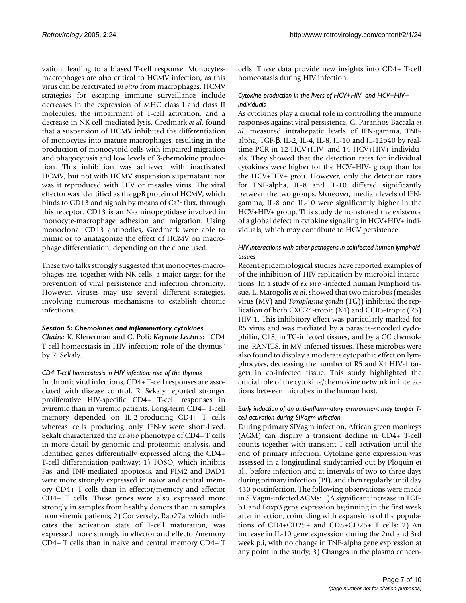vation, leading to a biased T-cell response. Monocytesmacrophages are also critical to HCMV infection, as this virus can be reactivated *in vitro* from macrophages. HCMV strategies for escaping immune surveillance include decreases in the expression of MHC class I and class II molecules, the impairment of T-cell activation, and a decrease in NK cell-mediated lysis. Gredmark *et al*. found that a suspension of HCMV inhibited the differentiation of monocytes into mature macrophages, resulting in the production of monocytoid cells with impaired migration and phagocytosis and low levels of β-chemokine production. This inhibition was achieved with inactivated HCMV, but not with HCMV suspension supernatant; nor was it reproduced with HIV or measles virus. The viral effector was identified as the gpB protein of HCMV, which binds to CD13 and signals by means of Ca2+ flux, through this receptor. CD13 is an N-aminopeptidase involved in monocyte-macrophage adhesion and migration. Using monoclonal CD13 antibodies, Gredmark were able to mimic or to anatagonize the effect of HCMV on macrophage differentiation, depending on the clone used.

These two talks strongly suggested that monocytes-macrophages are, together with NK cells, a major target for the prevention of viral persistence and infection chronicity. However, viruses may use several different strategies, involving numerous mechanisms to establish chronic infections.

#### *Session 5: Chemokines and inflammatory cytokines*

*Chairs:* K. Klenerman and G. Poli; *Keynote Lecture:* "CD4 T-cell homeostasis in HIV infection: role of the thymus" by R. Sekaly.

#### *CD4 T-cell homeostasis in HIV infection: role of the thymus*

In chronic viral infections, CD4+ T-cell responses are associated with disease control. R. Sekaly reported stronger proliferative HIV-specific CD4+ T-cell responses in aviremic than in viremic patients. Long-term CD4+ T-cell memory depended on IL-2-producing CD4+ T cells whereas cells producing only IFN-γ were short-lived. Sekalt characterized the *ex-vivo* phenotype of CD4+ T cells in more detail by genomic and proteomic analysis, and identified genes differentially expressed along the CD4+ T-cell differentiation pathway: 1) TOSO, which inhibits Fas- and TNF-mediated apoptosis, and PIM2 and DAD1 were more strongly expressed in naive and central memory CD4+ T cells than in effector/memory and effector CD4+ T cells. These genes were also expressed more strongly in samples from healthy donors than in samples from viremic patients; 2) Conversely, Rab27a, which indicates the activation state of T-cell maturation, was expressed more strongly in effector and effector/memory CD4+ T cells than in naive and central memory CD4+ T cells. These data provide new insights into CD4+ T-cell homeostasis during HIV infection.

#### *Cytokine production in the livers of HCV+HIV- and HCV+HIV+ individuals*

As cytokines play a crucial role in controlling the immune responses against viral persistence, G. Paranhos-Baccala *et al*. measured intrahepatic levels of IFN-gamma, TNFalpha, TGF-β, IL-2, IL-4, IL-8, IL-10 and IL-12p40 by realtime PCR in 12 HCV+HIV- and 14 HCV+HIV+ individuals. They showed that the detection rates for individual cytokines were higher for the HCV+HIV- group than for the HCV+HIV+ grou. However, only the detection rates for TNF-alpha, IL-8 and IL-10 differed significantly between the two groups. Moreover, median levels of IFNgamma, IL-8 and IL-10 were significantly higher in the HCV+HIV+ group. This study demonstrated the existence of a global defect in cytokine signaling in HCV+HIV+ individuals, which may contribute to HCV persistence.

#### *HIV interactions with other pathogens in coinfected human lymphoid tissues*

Recent epidemiological studies have reported examples of of the inhibition of HIV replication by microbial interactions. In a study of *ex vivo* -infected human lymphoid tissue, L. Marogolis *et al*. showed that two microbes (measles virus (MV) and *Toxoplasma gondii* (TG)) inhibited the replication of both CXCR4-tropic (X4) and CCR5-tropic (R5) HIV-1. This inhibitory effect was particularly marked for R5 virus and was mediated by a parasite-encoded cyclophilin, C18, in TG-infected tissues, and by a CC chemokine, RANTES, in MV-infected tissues. These microbes were also found to display a moderate cytopathic effect on lymphocytes, decreasing the number of R5 and X4 HIV-1 targets in co-infected tissue. This study highlighted the crucial role of the cytokine/chemokine network in interactions between microbes in the human host.

#### *Early induction of an anti-inflammatory environment may temper Tcell activation during SIVagm infection*

During primary SIVagm infection, African green monkeys (AGM) can display a transient decline in CD4+ T-cell counts together with transient T-cell activation until the end of primary infection. Cytokine gene expression was assessed in a longitudinal studycarried out by Ploquin et al., before infection and at intervals of two to three days during primary infection (PI), and then regularly until day 430 postinfection. The following observations were made in SIVagm-infected AGMs: 1)A significant increase in TGFb1 and Foxp3 gene expression beginning in the first week after infection, coinciding with expansions of the populations of CD4+CD25+ and CD8+CD25+ T cells; 2) An increase in IL-10 gene expression during the 2nd and 3rd week p.i, with no change in TNF-alpha gene expression at any point in the study; 3) Changes in the plasma concen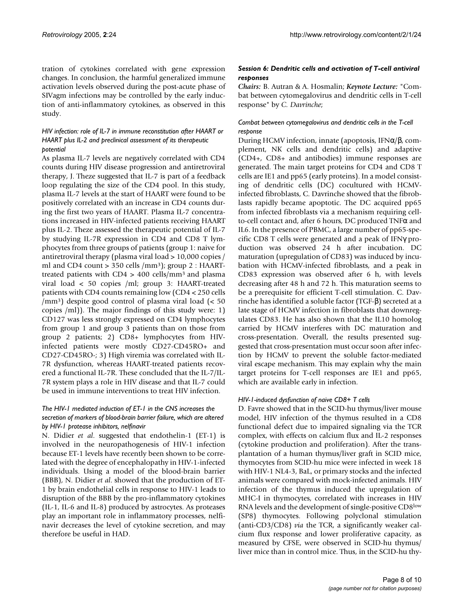tration of cytokines correlated with gene expression changes. In conclusion, the harmful generalized immune activation levels observed during the post-acute phase of SIVagm infections may be controlled by the early induction of anti-inflammatory cytokines, as observed in this study.

#### *HIV infection: role of IL-7 in immune reconstitution after HAART or HAART plus IL-2 and preclinical assessment of its therapeutic potential*

As plasma IL-7 levels are negatively correlated with CD4 counts during HIV disease progression and antiretroviral therapy, J. Theze suggested that IL-7 is part of a feedback loop regulating the size of the CD4 pool. In this study, plasma IL-7 levels at the start of HAART were found to be positively correlated with an increase in CD4 counts during the first two years of HAART. Plasma IL-7 concentrations increased in HIV-infected patients receiving HAART plus IL-2. Theze assessed the therapeutic potential of IL-7 by studying IL-7R expression in CD4 and CD8 T lymphocytes from three groups of patients (group 1: naive for antiretroviral therapy (plasma viral load > 10,000 copies / ml and CD4 count  $> 350$  cells /mm<sup>3</sup>); group 2 : HAARTtreated patients with  $CD4 > 400$  cells/mm<sup>3</sup> and plasma viral load < 50 copies /ml; group 3: HAART-treated patients with CD4 counts remaining low (CD4 < 250 cells /mm<sup>3</sup>) despite good control of plasma viral load (< 50 copies /ml)). The major findings of this study were: 1) CD127 was less strongly expressed on CD4 lymphocytes from group 1 and group 3 patients than on those from group 2 patients; 2) CD8+ lymphocytes from HIVinfected patients were mostly CD27-CD45RO+ and CD27-CD45RO-; 3) High viremia was correlated with IL-7R dysfunction, whereas HAART-treated patients recovered a functional IL-7R. These concluded that the IL-7/IL-7R system plays a role in HIV disease and that IL-7 could be used in immune interventions to treat HIV infection.

#### *The HIV-1 mediated induction of ET-1 in the CNS increases the secretion of markers of blood-brain barrier failure, which are altered by HIV-1 protease inhibitors, nelfinavir*

N. Didier *et al*. suggested that endothelin-1 (ET-1) is involved in the neuropathogenesis of HIV-1 infection because ET-1 levels have recently been shown to be correlated with the degree of encephalopathy in HIV-1-infected individuals. Using a model of the blood-brain barrier (BBB), N. Didier *et al*. showed that the production of ET-1 by brain endothelial cells in response to HIV-1 leads to disruption of the BBB by the pro-inflammatory cytokines (IL-1, IL-6 and IL-8) produced by astrocytes. As proteases play an important role in inflammatory processes, nelfinavir decreases the level of cytokine secretion, and may therefore be useful in HAD.

#### *Session 6: Dendritic cells and activation of T-cell antiviral responses*

*Chairs:* B. Autran & A. Hosmalin; *Keynote Lecture:* "Combat between cytomegalovirus and dendritic cells in T-cell response" by *C. Davrinche*;

#### *Combat between cytomegalovirus and dendritic cells in the T-cell response*

During HCMV infection, innate (apoptosis, IFNα/β, complement, NK cells and dendritic cells) and adaptive (CD4+, CD8+ and antibodies) immune responses are generated. The main target proteins for CD4 and CD8 T cells are IE1 and pp65 (early proteins). In a model consisting of dendritic cells (DC) cocultured with HCMVinfected fibroblasts, C. Davrinche showed that the fibroblasts rapidly became apoptotic. The DC acquired pp65 from infected fibroblasts via a mechanism requiring cellto-cell contact and, after 6 hours, DC produced TNFα and IL6. In the presence of PBMC, a large number of pp65-specific CD8 T cells were generated and a peak of IFNγ production was observed 24 h after incubation. DC maturation (upregulation of CD83) was induced by incubation with HCMV-infected fibroblasts, and a peak in CD83 expression was observed after 6 h, with levels decreasing after 48 h and 72 h. This maturation seems to be a prerequisite for efficient T-cell stimulation. C. Davrinche has identified a soluble factor (TGF-β) secreted at a late stage of HCMV infection in fibroblasts that downregulates CD83. He has also shown that the IL10 homolog carried by HCMV interferes with DC maturation and cross-presentation. Overall, the results presented suggested that cross-presentation must occur soon after infection by HCMV to prevent the soluble factor-mediated viral escape mechanism. This may explain why the main target proteins for T-cell responses are IE1 and pp65, which are available early in infection.

#### *HIV-1-induced dysfunction of naive CD8+ T cells*

D. Favre showed that in the SCID-hu thymus/liver mouse model, HIV infection of the thymus resulted in a CD8 functional defect due to impaired signaling via the TCR complex, with effects on calcium flux and IL-2 responses (cytokine production and proliferation). After the transplantation of a human thymus/liver graft in SCID mice, thymocytes from SCID-hu mice were infected in week 18 with HIV-1 NL4-3, BaL, or primary stocks and the infected animals were compared with mock-infected animals. HIV infection of the thymus induced the upregulation of MHC-I in thymocytes, correlated with increases in HIV RNA levels and the development of single-positive CD8low (SP8) thymocytes. Following polyclonal stimulation (anti-CD3/CD8) *via* the TCR, a significantly weaker calcium flux response and lower proliferative capacity, as measured by CFSE, were observed in SCID-hu thymus/ liver mice than in control mice. Thus, in the SCID-hu thy-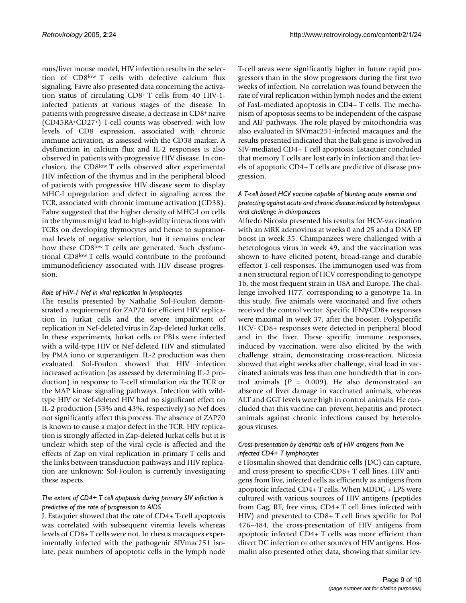mus/liver mouse model, HIV infection results in the selection of CD8low T cells with defective calcium flux signaling. Favre also presented data concerning the activation status of circulating CD8<sup>+</sup>T cells from 40 HIV-1 infected patients at various stages of the disease. In patients with progressive disease, a decrease in CD8<sup>+</sup>naive (CD45RA<sup>+</sup>CD27<sup>+</sup>) T-cell counts was observed, with low levels of CD8 expression, associated with chronic immune activation, as assessed with the CD38 marker. A dysfunction in calcium flux and IL-2 responses is also observed in patients with progressive HIV disease. In conclusion, the CD8low T cells observed after experimental HIV infection of the thymus and in the peripheral blood of patients with progressive HIV disease seem to display MHC-I upregulation and defect in signaling across the TCR, associated with chronic immune activation (CD38). Fabre suggested that the higher density of MHC-I on cells in the thymus might lead to high-avidity interactions with TCRs on developing thymocytes and hence to supranormal levels of negative selection, but it remains unclear how these CD8<sup>low</sup> T cells are generated. Such dysfunctional CD8low T cells would contribute to the profound immunodeficiency associated with HIV disease progression.

#### *Role of HIV-1 Nef in viral replication in lymphocytes*

The results presented by Nathalie Sol-Foulon demonstrated a requirement for ZAP70 for efficient HIV replication in Jurkat cells and the severe impairment of replication in Nef-deleted virus in Zap-deleted Jurkat cells. In these experiments, Jurkat cells or PBLs were infected with a wild-type HIV or Nef-deleted HIV and stimulated by PMA iono or superantigen. IL-2 production was then evaluated. Sol-Foulon showed that HIV infection increased activation (as assessed by determining IL-2 production) in response to T-cell stimulation *via* the TCR or the MAP kinase signaling pathways. Infection with wildtype HIV or Nef-deleted HIV had no significant effect on IL-2 production (53% and 43%, respectively) so Nef does not significantly affect this process. The absence of ZAP70 is known to cause a major defect in the TCR. HIV replication is strongly affected in Zap-deleted Jurkat cells but it is unclear which step of the viral cycle is affected and the effects of Zap on viral replication in primary T cells and the links between transduction pathways and HIV replication are unknown: Sol-Foulon is currently investigating these aspects.

#### *The extent of CD4+ T cell apoptosis during primary SIV infection is predictive of the rate of progression to AIDS*

J. Estaquier showed that the rate of CD4+ T-cell apoptosis was correlated with subsequent viremia levels whereas levels of CD8+ T cells were not. In rhesus macaques experimentally infected with the pathogenic SIVmac251 isolate, peak numbers of apoptotic cells in the lymph node T-cell areas were significantly higher in future rapid progressors than in the slow progressors during the first two weeks of infection. No correlation was found between the rate of viral replication within lymph nodes and the extent of FasL-mediated apoptosis in CD4+ T cells. The mechanism of apoptosis seems to be independent of the caspase and AIF pathways. The role played by mitochondria was also evaluated in SIVmac251-infected macaques and the results presented indicated that the Bak gene is involved in SIV-mediated CD4+ T cell apoptosis. Estaquier concluded that memory T cells are lost early in infection and that levels of apoptotic CD4+ T cells are predictive of disease progression.

#### *A T-cell based HCV vaccine capable of blunting acute viremia and protecting against acute and chronic disease induced by heterologous viral challenge in chimpanzees*

Alfredo Nicosia presented his results for HCV-vaccination with an MRK adenovirus at weeks 0 and 25 and a DNA EP boost in week 35. Chimpanzees were challenged with a heterologous virus in week 49, and the vaccination was shown to have elicited potent, broad-range and durable effector T-cell responses. The immunogen used was from a non structural region of HCV corresponding to genotype 1b, the most frequent strain in USA and Europe. The challenge involved H77, corresponding to a genotype 1a. In this study, five animals were vaccinated and five others received the control vector. Specific IFNγ-CD8+ responses were maximal in week 37, after the booster. Polyspecific HCV- CD8+ responses were detected in peripheral blood and in the liver. These specific immune responses, induced by vaccination, were also elicited by the with challenge strain, demonstrating cross-reaction. Nicosia showed that eight weeks after challenge, viral load in vaccinated animals was less than one hundredth that in control animals (*P* = 0.009). He also demonstrated an absence of liver damage in vaccinated animals, whereas ALT and GGT levels were high in control animals. He concluded that this vaccine can prevent hepatitis and protect animals against chronic infections caused by heterologous viruses.

#### *Cross-presentation by dendritic cells of HIV antigens from live infected CD4+ T lymphocytes*

e Hosmalin showed that dendritic cells (DC) can capture, and cross-present to specific-CD8+ T cell lines, HIV antigens from live, infected cells as efficiently as antigens from apoptotic infected CD4+ T cells. When MDDC + LPS were cultured with various sources of HIV antigens (peptides from Gag, RT, free virus, CD4+ T cell lines infected with HIV) and presented to CD8+ T cell lines specific for Pol 476–484, the cross-presentation of HIV antigens from apoptotic infected CD4+ T cells was more efficient than direct DC infection or other sources of HIV antigens. Hosmalin also presented other data, showing that similar lev